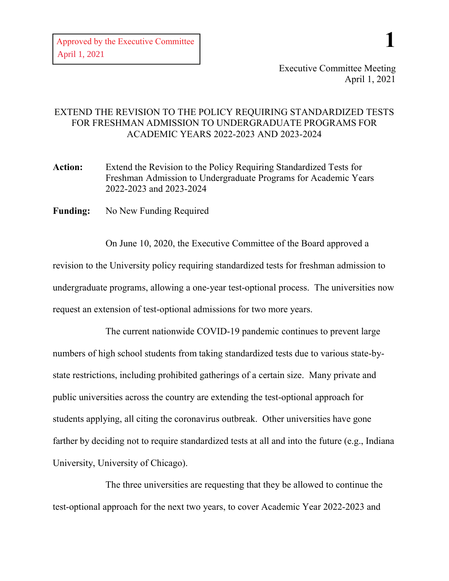**1**

## EXTEND THE REVISION TO THE POLICY REQUIRING STANDARDIZED TESTS FOR FRESHMAN ADMISSION TO UNDERGRADUATE PROGRAMS FOR ACADEMIC YEARS 2022-2023 AND 2023-2024

**Action:** Extend the Revision to the Policy Requiring Standardized Tests for Freshman Admission to Undergraduate Programs for Academic Years 2022-2023 and 2023-2024

**Funding:** No New Funding Required

On June 10, 2020, the Executive Committee of the Board approved a revision to the University policy requiring standardized tests for freshman admission to undergraduate programs, allowing a one-year test-optional process. The universities now request an extension of test-optional admissions for two more years.

The current nationwide COVID-19 pandemic continues to prevent large numbers of high school students from taking standardized tests due to various state-bystate restrictions, including prohibited gatherings of a certain size. Many private and public universities across the country are extending the test-optional approach for students applying, all citing the coronavirus outbreak. Other universities have gone farther by deciding not to require standardized tests at all and into the future (e.g., Indiana University, University of Chicago).

The three universities are requesting that they be allowed to continue the test-optional approach for the next two years, to cover Academic Year 2022-2023 and